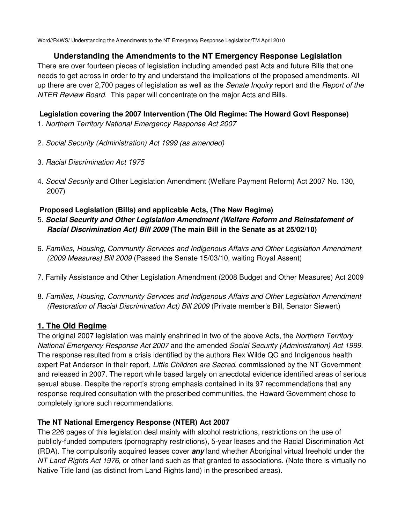Word//R4WS/ Understanding the Amendments to the NT Emergency Response Legislation/TM April 2010

# **Understanding the Amendments to the NT Emergency Response Legislation**

There are over fourteen pieces of legislation including amended past Acts and future Bills that one needs to get across in order to try and understand the implications of the proposed amendments. All up there are over 2,700 pages of legislation as well as the Senate Inquiry report and the Report of the NTER Review Board. This paper will concentrate on the major Acts and Bills.

# **Legislation covering the 2007 Intervention (The Old Regime: The Howard Govt Response)**

- 1. Northern Territory National Emergency Response Act 2007
- 2. Social Security (Administration) Act 1999 (as amended)
- 3. Racial Discrimination Act 1975
- 4. Social Security and Other Legislation Amendment (Welfare Payment Reform) Act 2007 No. 130, 2007)

# **Proposed Legislation (Bills) and applicable Acts, (The New Regime)**

- 5. **Social Security and Other Legislation Amendment (Welfare Reform and Reinstatement of Racial Discrimination Act) Bill 2009 (The main Bill in the Senate as at 25/02/10)**
- 6. Families, Housing, Community Services and Indigenous Affairs and Other Legislation Amendment (2009 Measures) Bill 2009 (Passed the Senate 15/03/10, waiting Royal Assent)
- 7. Family Assistance and Other Legislation Amendment (2008 Budget and Other Measures) Act 2009
- 8. Families, Housing, Community Services and Indigenous Affairs and Other Legislation Amendment (Restoration of Racial Discrimination Act) Bill 2009 (Private member's Bill, Senator Siewert)

# **1. The Old Regime**

The original 2007 legislation was mainly enshrined in two of the above Acts, the Northern Territory National Emergency Response Act 2007 and the amended Social Security (Administration) Act 1999. The response resulted from a crisis identified by the authors Rex Wilde QC and Indigenous health expert Pat Anderson in their report, Little Children are Sacred, commissioned by the NT Government and released in 2007. The report while based largely on anecdotal evidence identified areas of serious sexual abuse. Despite the report's strong emphasis contained in its 97 recommendations that any response required consultation with the prescribed communities, the Howard Government chose to completely ignore such recommendations.

# **The NT National Emergency Response (NTER) Act 2007**

The 226 pages of this legislation deal mainly with alcohol restrictions, restrictions on the use of publicly-funded computers (pornography restrictions), 5-year leases and the Racial Discrimination Act (RDA). The compulsorily acquired leases cover **any** land whether Aboriginal virtual freehold under the NT Land Rights Act 1976, or other land such as that granted to associations. (Note there is virtually no Native Title land (as distinct from Land Rights land) in the prescribed areas).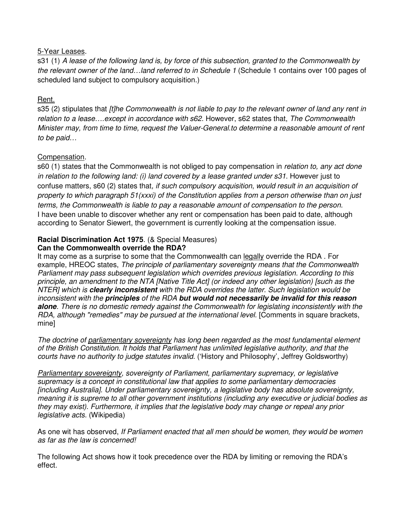#### 5-Year Leases.

s31 (1) A lease of the following land is, by force of this subsection, granted to the Commonwealth by the relevant owner of the land...land referred to in Schedule 1 (Schedule 1 contains over 100 pages of scheduled land subject to compulsory acquisition.)

# Rent.

s35 (2) stipulates that [t]he Commonwealth is not liable to pay to the relevant owner of land any rent in relation to a lease....except in accordance with s62. However, s62 states that, The Commonwealth Minister may, from time to time, request the Valuer-General.to determine a reasonable amount of rent to be paid…

### Compensation.

s60 (1) states that the Commonwealth is not obliged to pay compensation in *relation to, any act done* in relation to the following land: (i) land covered by a lease granted under s31. However just to confuse matters, s60 (2) states that, if such compulsory acquisition, would result in an acquisition of property to which paragraph 51(xxxi) of the Constitution applies from a person otherwise than on just terms, the Commonwealth is liable to pay a reasonable amount of compensation to the person. I have been unable to discover whether any rent or compensation has been paid to date, although according to Senator Siewert, the government is currently looking at the compensation issue.

# **Racial Discrimination Act 1975**. (& Special Measures)

## **Can the Commonwealth override the RDA?**

It may come as a surprise to some that the Commonwealth can legally override the RDA . For example, HREOC states, The principle of parliamentary sovereignty means that the Commonwealth Parliament may pass subsequent legislation which overrides previous legislation. According to this principle, an amendment to the NTA [Native Title Act] (or indeed any other legislation) [such as the NTER] which is **clearly inconsistent** with the RDA overrides the latter. Such legislation would be inconsistent with the **principles** of the RDA **but would not necessarily be invalid for this reason alone**. There is no domestic remedy against the Commonwealth for legislating inconsistently with the RDA, although "remedies" may be pursued at the international level. [Comments in square brackets, mine]

The doctrine of parliamentary sovereignty has long been regarded as the most fundamental element of the British Constitution. It holds that Parliament has unlimited legislative authority, and that the courts have no authority to judge statutes invalid. ('History and Philosophy', Jeffrey Goldsworthy)

**Parliamentary sovereignty, sovereignty of Parliament, parliamentary supremacy, or legislative** supremacy is a concept in constitutional law that applies to some parliamentary democracies [including Australia]. Under parliamentary sovereignty, a legislative body has absolute sovereignty, meaning it is supreme to all other government institutions (including any executive or judicial bodies as they may exist). Furthermore, it implies that the legislative body may change or repeal any prior legislative acts. (Wikipedia)

As one wit has observed, If Parliament enacted that all men should be women, they would be women as far as the law is concerned!

The following Act shows how it took precedence over the RDA by limiting or removing the RDA's effect.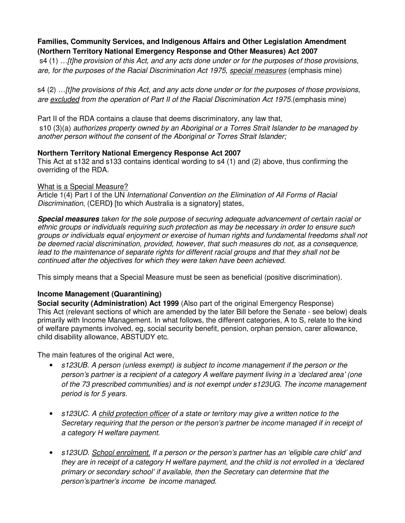## **Families, Community Services, and Indigenous Affairs and Other Legislation Amendment (Northern Territory National Emergency Response and Other Measures) Act 2007**

 s4 (1) …[t]he provision of this Act, and any acts done under or for the purposes of those provisions, are, for the purposes of the Racial Discrimination Act 1975, special measures (emphasis mine)

s4 (2) …[t]he provisions of this Act, and any acts done under or for the purposes of those provisions, are excluded from the operation of Part II of the Racial Discrimination Act 1975.(emphasis mine)

Part II of the RDA contains a clause that deems discriminatory, any law that, s10 (3)(a) authorizes property owned by an Aboriginal or a Torres Strait Islander to be managed by another person without the consent of the Aboriginal or Torres Strait Islander;

### **Northern Territory National Emergency Response Act 2007**

This Act at s132 and s133 contains identical wording to s4 (1) and (2) above, thus confirming the overriding of the RDA.

### What is a Special Measure?

Article 1(4) Part I of the UN International Convention on the Elimination of All Forms of Racial Discrimination, (CERD**)** [to which Australia is a signatory] states,

**Special measures** taken for the sole purpose of securing adequate advancement of certain racial or ethnic groups or individuals requiring such protection as may be necessary in order to ensure such groups or individuals equal enjoyment or exercise of human rights and fundamental freedoms shall not be deemed racial discrimination, provided, however, that such measures do not, as a consequence, lead to the maintenance of separate rights for different racial groups and that they shall not be continued after the objectives for which they were taken have been achieved.

This simply means that a Special Measure must be seen as beneficial (positive discrimination).

## **Income Management (Quarantining)**

**Social security (Administration) Act 1999** (Also part of the original Emergency Response) This Act (relevant sections of which are amended by the later Bill before the Senate - see below) deals primarily with Income Management. In what follows, the different categories, A to S, relate to the kind of welfare payments involved, eg, social security benefit, pension, orphan pension, carer allowance, child disability allowance, ABSTUDY etc.

The main features of the original Act were,

- s123UB. A person (unless exempt) is subject to income management if the person or the person's partner is a recipient of a category A welfare payment living in a 'declared area' (one of the 73 prescribed communities) and is not exempt under s123UG. The income management period is for 5 years.
- s123UC. A child protection officer of a state or territory may give a written notice to the Secretary requiring that the person or the person's partner be income managed if in receipt of a category H welfare payment.
- s123UD. School enrolment. If a person or the person's partner has an 'eligible care child' and they are in receipt of a category H welfare payment, and the child is not enrolled in a 'declared primary or secondary school' if available, then the Secretary can determine that the person's/partner's income be income managed.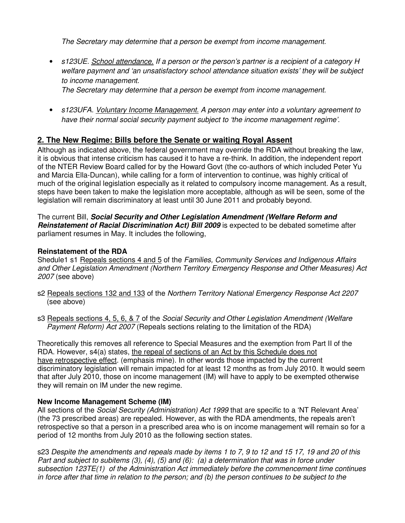The Secretary may determine that a person be exempt from income management.

• s123UE. School attendance. If a person or the person's partner is a recipient of a category H welfare payment and 'an unsatisfactory school attendance situation exists' they will be subject to income management.

The Secretary may determine that a person be exempt from income management.

• s123UFA. Voluntary Income Management. A person may enter into a voluntary agreement to have their normal social security payment subject to 'the income management regime'.

# **2. The New Regime: Bills before the Senate or waiting Royal Assent**

Although as indicated above, the federal government may override the RDA without breaking the law, it is obvious that intense criticism has caused it to have a re-think. In addition, the independent report of the NTER Review Board called for by the Howard Govt (the co-authors of which included Peter Yu and Marcia Ella-Duncan), while calling for a form of intervention to continue, was highly critical of much of the original legislation especially as it related to compulsory income management. As a result, steps have been taken to make the legislation more acceptable, although as will be seen, some of the legislation will remain discriminatory at least until 30 June 2011 and probably beyond.

The current Bill, **Social Security and Other Legislation Amendment (Welfare Reform and Reinstatement of Racial Discrimination Act) Bill 2009** is expected to be debated sometime after parliament resumes in May. It includes the following,

### **Reinstatement of the RDA**

Shedule1 s1 Repeals sections 4 and 5 of the Families, Community Services and Indigenous Affairs and Other Legislation Amendment (Northern Territory Emergency Response and Other Measures) Act 2007 (see above)

- s2 Repeals sections 132 and 133 of the Northern Territory National Emergency Response Act 2207 (see above)
- s3 Repeals sections 4, 5, 6, & 7 of the *Social Security and Other Legislation Amendment (Welfare* Payment Reform) Act 2007 (Repeals sections relating to the limitation of the RDA)

Theoretically this removes all reference to Special Measures and the exemption from Part II of the RDA. However, s4(a) states, the repeal of sections of an Act by this Schedule does not have retrospective effect. (emphasis mine). In other words those impacted by the current discriminatory legislation will remain impacted for at least 12 months as from July 2010. It would seem that after July 2010, those on income management (IM) will have to apply to be exempted otherwise they will remain on IM under the new regime.

## **New Income Management Scheme (IM)**

All sections of the Social Security (Administration) Act 1999 that are specific to a 'NT Relevant Area' (the 73 prescribed areas) are repealed. However, as with the RDA amendments, the repeals aren't retrospective so that a person in a prescribed area who is on income management will remain so for a period of 12 months from July 2010 as the following section states.

s23 Despite the amendments and repeals made by items 1 to 7, 9 to 12 and 15 17, 19 and 20 of this Part and subject to subitems  $(3)$ ,  $(4)$ ,  $(5)$  and  $(6)$ :  $(a)$  a determination that was in force under subsection 123TE(1) of the Administration Act immediately before the commencement time continues in force after that time in relation to the person; and (b) the person continues to be subject to the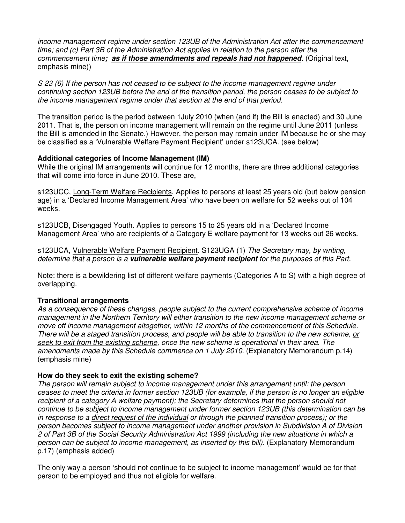income management regime under section 123UB of the Administration Act after the commencement time; and (c) Part 3B of the Administration Act applies in relation to the person after the commencement time**; as if those amendments and repeals had not happened**. (Original text, emphasis mine))

S 23 (6) If the person has not ceased to be subject to the income management regime under continuing section 123UB before the end of the transition period, the person ceases to be subject to the income management regime under that section at the end of that period.

The transition period is the period between 1July 2010 (when (and if) the Bill is enacted) and 30 June 2011. That is, the person on income management will remain on the regime until June 2011 (unless the Bill is amended in the Senate.) However, the person may remain under IM because he or she may be classified as a 'Vulnerable Welfare Payment Recipient' under s123UCA. (see below)

#### **Additional categories of Income Management (IM)**

While the original IM arrangements will continue for 12 months, there are three additional categories that will come into force in June 2010. These are,

s123UCC, Long-Term Welfare Recipients. Applies to persons at least 25 years old (but below pension age) in a 'Declared Income Management Area' who have been on welfare for 52 weeks out of 104 weeks.

s123UCB, Disengaged Youth. Applies to persons 15 to 25 years old in a 'Declared Income Management Area' who are recipients of a Category E welfare payment for 13 weeks out 26 weeks.

s123UCA, Vulnerable Welfare Payment Recipient. S123UGA (1) The Secretary may, by writing, determine that a person is a **vulnerable welfare payment recipient** for the purposes of this Part.

Note: there is a bewildering list of different welfare payments (Categories A to S) with a high degree of overlapping.

#### **Transitional arrangements**

As a consequence of these changes, people subject to the current comprehensive scheme of income management in the Northern Territory will either transition to the new income management scheme or move off income management altogether, within 12 months of the commencement of this Schedule. There will be a staged transition process, and people will be able to transition to the new scheme, or seek to exit from the existing scheme, once the new scheme is operational in their area. The amendments made by this Schedule commence on 1 July 2010. (Explanatory Memorandum p.14) (emphasis mine)

#### **How do they seek to exit the existing scheme?**

The person will remain subject to income management under this arrangement until: the person ceases to meet the criteria in former section 123UB (for example, if the person is no longer an eligible recipient of a category A welfare payment); the Secretary determines that the person should not continue to be subject to income management under former section 123UB (this determination can be in response to a direct request of the individual or through the planned transition process); or the person becomes subject to income management under another provision in Subdivision A of Division 2 of Part 3B of the Social Security Administration Act 1999 (including the new situations in which a person can be subject to income management, as inserted by this bill). (Explanatory Memorandum p.17) (emphasis added)

The only way a person 'should not continue to be subject to income management' would be for that person to be employed and thus not eligible for welfare.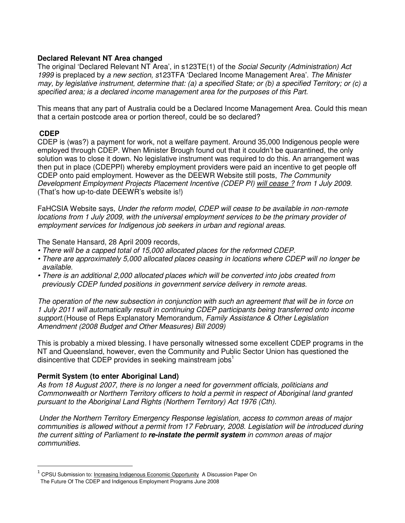#### **Declared Relevant NT Area changed**

The original 'Declared Relevant NT Area', in s123TE(1) of the Social Security (Administration) Act 1999 is preplaced by a new section, s123TFA 'Declared Income Management Area'. The Minister may, by legislative instrument, determine that: (a) a specified State; or (b) a specified Territory; or (c) a specified area; is a declared income management area for the purposes of this Part.

This means that any part of Australia could be a Declared Income Management Area. Could this mean that a certain postcode area or portion thereof, could be so declared?

### **CDEP**

l

CDEP is (was?) a payment for work, not a welfare payment. Around 35,000 Indigenous people were employed through CDEP. When Minister Brough found out that it couldn't be quarantined, the only solution was to close it down. No legislative instrument was required to do this. An arrangement was then put in place (CDEPPI) whereby employment providers were paid an incentive to get people off CDEP onto paid employment. However as the DEEWR Website still posts, The Community Development Employment Projects Placement Incentive (CDEP PI) will cease ? from 1 July 2009. (That's how up-to-date DEEWR's website is!)

FaHCSIA Website says, Under the reform model, CDEP will cease to be available in non-remote locations from 1 July 2009, with the universal employment services to be the primary provider of employment services for Indigenous job seekers in urban and regional areas.

The Senate Hansard, 28 April 2009 records,

- There will be a capped total of 15,000 allocated places for the reformed CDEP.
- There are approximately 5,000 allocated places ceasing in locations where CDEP will no longer be available.
- There is an additional 2,000 allocated places which will be converted into jobs created from previously CDEP funded positions in government service delivery in remote areas.

The operation of the new subsection in conjunction with such an agreement that will be in force on 1 July 2011 will automatically result in continuing CDEP participants being transferred onto income support. (House of Reps Explanatory Memorandum, Family Assistance & Other Legislation Amendment (2008 Budget and Other Measures) Bill 2009)

This is probably a mixed blessing. I have personally witnessed some excellent CDEP programs in the NT and Queensland, however, even the Community and Public Sector Union has questioned the disincentive that CDEP provides in seeking mainstream jobs<sup>1</sup>

#### **Permit System (to enter Aboriginal Land)**

As from 18 August 2007, there is no longer a need for government officials, politicians and Commonwealth or Northern Territory officers to hold a permit in respect of Aboriginal land granted pursuant to the Aboriginal Land Rights (Northern Territory) Act 1976 (Cth).

Under the Northern Territory Emergency Response legislation, access to common areas of major communities is allowed without a permit from 17 February, 2008. Legislation will be introduced during the current sitting of Parliament to **re-instate the permit system** in common areas of major communities.

<sup>1</sup> CPSU Submission to: Increasing Indigenous Economic Opportunity A Discussion Paper On The Future Of The CDEP and Indigenous Employment Programs June 2008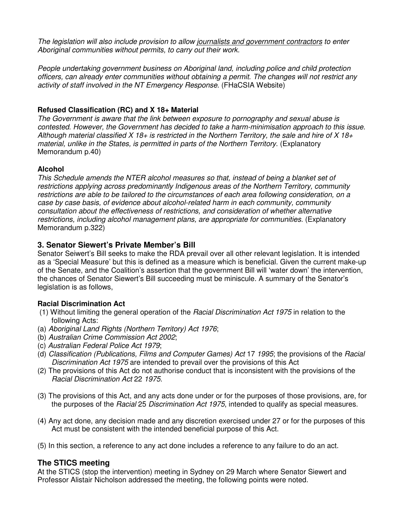The legislation will also include provision to allow journalists and government contractors to enter Aboriginal communities without permits, to carry out their work.

People undertaking government business on Aboriginal land, including police and child protection officers, can already enter communities without obtaining a permit. The changes will not restrict any activity of staff involved in the NT Emergency Response. (FHaCSIA Website)

## **Refused Classification (RC) and X 18+ Material**

The Government is aware that the link between exposure to pornography and sexual abuse is contested. However, the Government has decided to take a harm-minimisation approach to this issue. Although material classified X 18+ is restricted in the Northern Territory, the sale and hire of X 18+ material, unlike in the States, is permitted in parts of the Northern Territory. (Explanatory Memorandum p.40)

### **Alcohol**

This Schedule amends the NTER alcohol measures so that, instead of being a blanket set of restrictions applying across predominantly Indigenous areas of the Northern Territory, community restrictions are able to be tailored to the circumstances of each area following consideration, on a case by case basis, of evidence about alcohol-related harm in each community, community consultation about the effectiveness of restrictions, and consideration of whether alternative restrictions, including alcohol management plans, are appropriate for communities. (Explanatory Memorandum p.322)

## **3. Senator Siewert's Private Member's Bill**

Senator Seiwert's Bill seeks to make the RDA prevail over all other relevant legislation. It is intended as a 'Special Measure' but this is defined as a measure which is beneficial. Given the current make-up of the Senate, and the Coalition's assertion that the government Bill will 'water down' the intervention, the chances of Senator Siewert's Bill succeeding must be miniscule. A summary of the Senator's legislation is as follows,

#### **Racial Discrimination Act**

- (1) Without limiting the general operation of the Racial Discrimination Act 1975 in relation to the following Acts:
- (a) Aboriginal Land Rights (Northern Territory) Act 1976;
- (b) Australian Crime Commission Act 2002;
- (c) Australian Federal Police Act 1979;
- (d) Classification (Publications, Films and Computer Games) Act 17 1995; the provisions of the Racial Discrimination Act 1975 are intended to prevail over the provisions of this Act
- (2) The provisions of this Act do not authorise conduct that is inconsistent with the provisions of the Racial Discrimination Act 22 1975.
- (3) The provisions of this Act, and any acts done under or for the purposes of those provisions, are, for the purposes of the *Racial* 25 Discrimination Act 1975, intended to qualify as special measures.
- (4) Any act done, any decision made and any discretion exercised under 27 or for the purposes of this Act must be consistent with the intended beneficial purpose of this Act.
- (5) In this section, a reference to any act done includes a reference to any failure to do an act.

## **The STICS meeting**

At the STICS (stop the intervention) meeting in Sydney on 29 March where Senator Siewert and Professor Alistair Nicholson addressed the meeting, the following points were noted.